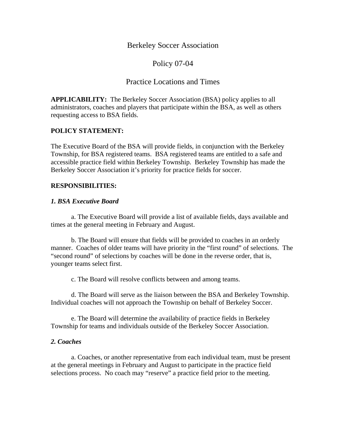## Berkeley Soccer Association

# Policy 07-04

# Practice Locations and Times

**APPLICABILITY:** The Berkeley Soccer Association (BSA) policy applies to all administrators, coaches and players that participate within the BSA, as well as others requesting access to BSA fields.

### **POLICY STATEMENT:**

The Executive Board of the BSA will provide fields, in conjunction with the Berkeley Township, for BSA registered teams. BSA registered teams are entitled to a safe and accessible practice field within Berkeley Township. Berkeley Township has made the Berkeley Soccer Association it's priority for practice fields for soccer.

#### **RESPONSIBILITIES:**

#### *1. BSA Executive Board*

 a. The Executive Board will provide a list of available fields, days available and times at the general meeting in February and August.

 b. The Board will ensure that fields will be provided to coaches in an orderly manner. Coaches of older teams will have priority in the "first round" of selections. The "second round" of selections by coaches will be done in the reverse order, that is, younger teams select first.

c. The Board will resolve conflicts between and among teams.

 d. The Board will serve as the liaison between the BSA and Berkeley Township. Individual coaches will not approach the Township on behalf of Berkeley Soccer.

 e. The Board will determine the availability of practice fields in Berkeley Township for teams and individuals outside of the Berkeley Soccer Association.

#### *2. Coaches*

 a. Coaches, or another representative from each individual team, must be present at the general meetings in February and August to participate in the practice field selections process. No coach may "reserve" a practice field prior to the meeting.